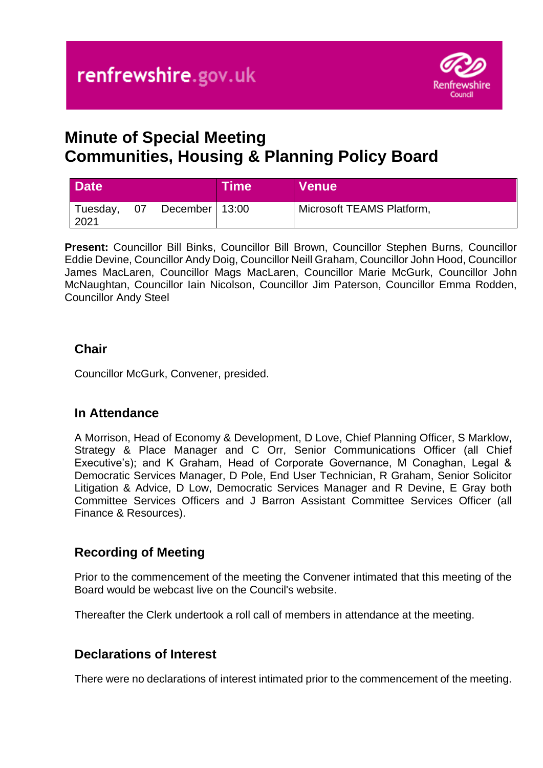

# **Minute of Special Meeting Communities, Housing & Planning Policy Board**

| <b>Date</b>      |    |                    | <b>Time</b> | <b>Venue</b>              |
|------------------|----|--------------------|-------------|---------------------------|
| Tuesday,<br>2021 | 07 | December   $13:00$ |             | Microsoft TEAMS Platform, |

**Present:** Councillor Bill Binks, Councillor Bill Brown, Councillor Stephen Burns, Councillor Eddie Devine, Councillor Andy Doig, Councillor Neill Graham, Councillor John Hood, Councillor James MacLaren, Councillor Mags MacLaren, Councillor Marie McGurk, Councillor John McNaughtan, Councillor Iain Nicolson, Councillor Jim Paterson, Councillor Emma Rodden, Councillor Andy Steel

## **Chair**

Councillor McGurk, Convener, presided.

#### **In Attendance**

A Morrison, Head of Economy & Development, D Love, Chief Planning Officer, S Marklow, Strategy & Place Manager and C Orr, Senior Communications Officer (all Chief Executive's); and K Graham, Head of Corporate Governance, M Conaghan, Legal & Democratic Services Manager, D Pole, End User Technician, R Graham, Senior Solicitor Litigation & Advice, D Low, Democratic Services Manager and R Devine, E Gray both Committee Services Officers and J Barron Assistant Committee Services Officer (all Finance & Resources).

# **Recording of Meeting**

Prior to the commencement of the meeting the Convener intimated that this meeting of the Board would be webcast live on the Council's website.

Thereafter the Clerk undertook a roll call of members in attendance at the meeting.

# **Declarations of Interest**

There were no declarations of interest intimated prior to the commencement of the meeting.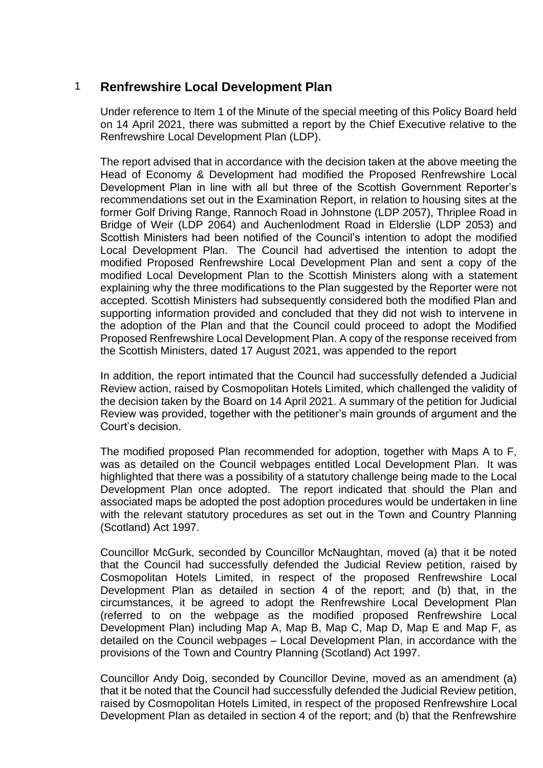### 1 **Renfrewshire Local Development Plan**

Under reference to Item 1 of the Minute of the special meeting of this Policy Board held on 14 April 2021, there was submitted a report by the Chief Executive relative to the Renfrewshire Local Development Plan (LDP).

The report advised that in accordance with the decision taken at the above meeting the Head of Economy & Development had modified the Proposed Renfrewshire Local Development Plan in line with all but three of the Scottish Government Reporter's recommendations set out in the Examination Report, in relation to housing sites at the former Golf Driving Range, Rannoch Road in Johnstone (LDP 2057), Thriplee Road in Bridge of Weir (LDP 2064) and Auchenlodment Road in Elderslie (LDP 2053) and Scottish Ministers had been notified of the Council's intention to adopt the modified Local Development Plan. The Council had advertised the intention to adopt the modified Proposed Renfrewshire Local Development Plan and sent a copy of the modified Local Development Plan to the Scottish Ministers along with a statement explaining why the three modifications to the Plan suggested by the Reporter were not accepted. Scottish Ministers had subsequently considered both the modified Plan and supporting information provided and concluded that they did not wish to intervene in the adoption of the Plan and that the Council could proceed to adopt the Modified Proposed Renfrewshire Local Development Plan. A copy of the response received from the Scottish Ministers, dated 17 August 2021, was appended to the report

In addition, the report intimated that the Council had successfully defended a Judicial Review action, raised by Cosmopolitan Hotels Limited, which challenged the validity of the decision taken by the Board on 14 April 2021. A summary of the petition for Judicial Review was provided, together with the petitioner's main grounds of argument and the Court's decision.

The modified proposed Plan recommended for adoption, together with Maps A to F, was as detailed on the Council webpages entitled Local Development Plan. It was highlighted that there was a possibility of a statutory challenge being made to the Local Development Plan once adopted. The report indicated that should the Plan and associated maps be adopted the post adoption procedures would be undertaken in line with the relevant statutory procedures as set out in the Town and Country Planning (Scotland) Act 1997.

Councillor McGurk, seconded by Councillor McNaughtan, moved (a) that it be noted that the Council had successfully defended the Judicial Review petition, raised by Cosmopolitan Hotels Limited, in respect of the proposed Renfrewshire Local Development Plan as detailed in section 4 of the report; and (b) that, in the circumstances, it be agreed to adopt the Renfrewshire Local Development Plan (referred to on the webpage as the modified proposed Renfrewshire Local Development Plan) including Map A, Map B, Map C, Map D, Map E and Map F, as detailed on the Council webpages – Local Development Plan, in accordance with the provisions of the Town and Country Planning (Scotland) Act 1997.

Councillor Andy Doig, seconded by Councillor Devine, moved as an amendment (a) that it be noted that the Council had successfully defended the Judicial Review petition, raised by Cosmopolitan Hotels Limited, in respect of the proposed Renfrewshire Local Development Plan as detailed in section 4 of the report; and (b) that the Renfrewshire